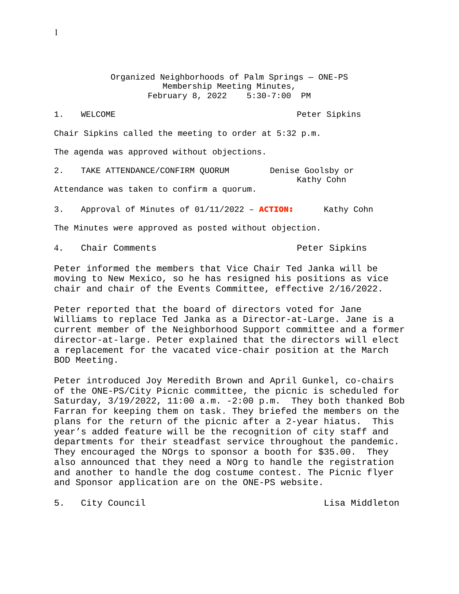Organized Neighborhoods of Palm Springs — ONE-PS Membership Meeting Minutes,<br>Pruary 8, 2022 5:30-7:00 PM February 8, 2022

1. WELCOME Peter Sipkins

Chair Sipkins called the meeting to order at 5:32 p.m.

The agenda was approved without objections.

2. TAKE ATTENDANCE/CONFIRM QUORUM Denise Goolsby or Kathy Cohn

Attendance was taken to confirm a quorum.

3. Approval of Minutes of 01/11/2022 - **ACTION:** Kathy Cohn

The Minutes were approved as posted without objection.

4. Chair Comments **Peter Sipkins** 

Peter informed the members that Vice Chair Ted Janka will be moving to New Mexico, so he has resigned his positions as vice chair and chair of the Events Committee, effective 2/16/2022.

Peter reported that the board of directors voted for Jane Williams to replace Ted Janka as a Director-at-Large. Jane is a current member of the Neighborhood Support committee and a former director-at-large. Peter explained that the directors will elect a replacement for the vacated vice-chair position at the March BOD Meeting.

Peter introduced Joy Meredith Brown and April Gunkel, co-chairs of the ONE-PS/City Picnic committee, the picnic is scheduled for Saturday, 3/19/2022, 11:00 a.m. -2:00 p.m. They both thanked Bob Farran for keeping them on task. They briefed the members on the plans for the return of the picnic after a 2-year hiatus. This year's added feature will be the recognition of city staff and departments for their steadfast service throughout the pandemic. They encouraged the NOrgs to sponsor a booth for \$35.00. They also announced that they need a NOrg to handle the registration and another to handle the dog costume contest. The Picnic flyer and Sponsor application are on the ONE-PS website.

5. City Council **Exercise Service Council** Lisa Middleton

1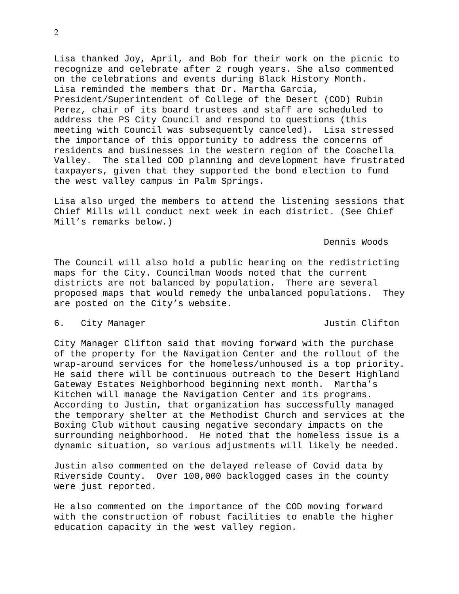2

Lisa thanked Joy, April, and Bob for their work on the picnic to recognize and celebrate after 2 rough years. She also commented on the celebrations and events during Black History Month. Lisa reminded the members that Dr. Martha Garcia, President/Superintendent of College of the Desert (COD) Rubin Perez, chair of its board trustees and staff are scheduled to address the PS City Council and respond to questions (this meeting with Council was subsequently canceled). Lisa stressed the importance of this opportunity to address the concerns of residents and businesses in the western region of the Coachella Valley. The stalled COD planning and development have frustrated taxpayers, given that they supported the bond election to fund the west valley campus in Palm Springs.

Lisa also urged the members to attend the listening sessions that Chief Mills will conduct next week in each district. (See Chief Mill's remarks below.)

Dennis Woods

The Council will also hold a public hearing on the redistricting maps for the City. Councilman Woods noted that the current districts are not balanced by population. There are several proposed maps that would remedy the unbalanced populations. They are posted on the City's website.

## 6. City Manager Justin Clifton

City Manager Clifton said that moving forward with the purchase of the property for the Navigation Center and the rollout of the wrap-around services for the homeless/unhoused is a top priority. He said there will be continuous outreach to the Desert Highland Gateway Estates Neighborhood beginning next month. Martha's Kitchen will manage the Navigation Center and its programs. According to Justin, that organization has successfully managed the temporary shelter at the Methodist Church and services at the Boxing Club without causing negative secondary impacts on the surrounding neighborhood. He noted that the homeless issue is a dynamic situation, so various adjustments will likely be needed.

Justin also commented on the delayed release of Covid data by Riverside County. Over 100,000 backlogged cases in the county were just reported.

He also commented on the importance of the COD moving forward with the construction of robust facilities to enable the higher education capacity in the west valley region.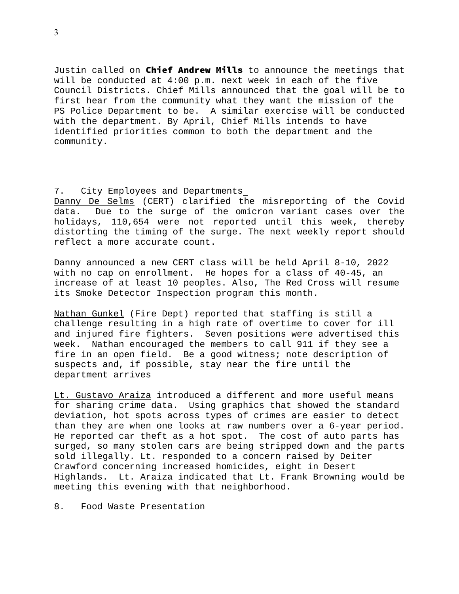Justin called on Chief Andrew Mills to announce the meetings that will be conducted at 4:00 p.m. next week in each of the five Council Districts. Chief Mills announced that the goal will be to first hear from the community what they want the mission of the PS Police Department to be. A similar exercise will be conducted with the department. By April, Chief Mills intends to have identified priorities common to both the department and the community.

## 7. City Employees and Departments

Danny De Selms (CERT) clarified the misreporting of the Covid data. Due to the surge of the omicron variant cases over the holidays, 110,654 were not reported until this week, thereby distorting the timing of the surge. The next weekly report should reflect a more accurate count.

Danny announced a new CERT class will be held April 8-10, 2022 with no cap on enrollment. He hopes for a class of 40-45, an increase of at least 10 peoples. Also, The Red Cross will resume its Smoke Detector Inspection program this month.

Nathan Gunkel (Fire Dept) reported that staffing is still a challenge resulting in a high rate of overtime to cover for ill and injured fire fighters. Seven positions were advertised this week. Nathan encouraged the members to call 911 if they see a fire in an open field. Be a good witness; note description of suspects and, if possible, stay near the fire until the department arrives

Lt. Gustavo Araiza introduced a different and more useful means for sharing crime data. Using graphics that showed the standard deviation, hot spots across types of crimes are easier to detect than they are when one looks at raw numbers over a 6-year period. He reported car theft as a hot spot. The cost of auto parts has surged, so many stolen cars are being stripped down and the parts sold illegally. Lt. responded to a concern raised by Deiter Crawford concerning increased homicides, eight in Desert Highlands. Lt. Araiza indicated that Lt. Frank Browning would be meeting this evening with that neighborhood.

8. Food Waste Presentation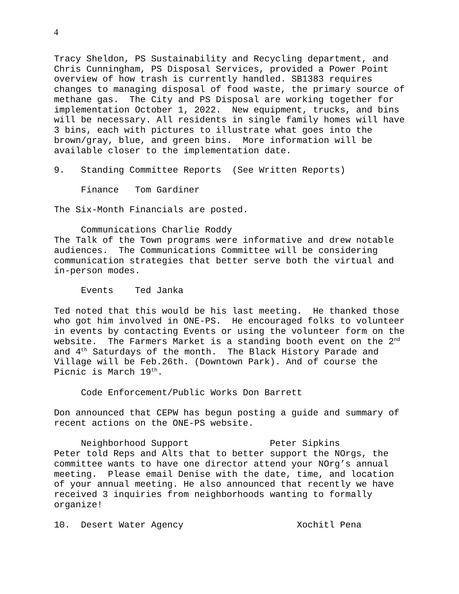Tracy Sheldon, PS Sustainability and Recycling department, and Chris Cunningham, PS Disposal Services, provided a Power Point overview of how trash is currently handled. SB1383 requires changes to managing disposal of food waste, the primary source of methane gas. The City and PS Disposal are working together for implementation October 1, 2022. New equipment, trucks, and bins will be necessary. All residents in single family homes will have 3 bins, each with pictures to illustrate what goes into the brown/gray, blue, and green bins. More information will be available closer to the implementation date.

9. Standing Committee Reports (See Written Reports)

Finance Tom Gardiner

The Six-Month Financials are posted.

Communications Charlie Roddy The Talk of the Town programs were informative and drew notable audiences. The Communications Committee will be considering communication strategies that better serve both the virtual and in-person modes.

Events Ted Janka

Ted noted that this would be his last meeting. He thanked those who got him involved in ONE-PS. He encouraged folks to volunteer in events by contacting Events or using the volunteer form on the website. The Farmers Market is a standing booth event on the 2<sup>nd</sup> and 4th Saturdays of the month. The Black History Parade and Village will be Feb.26th. (Downtown Park). And of course the Picnic is March 19th.

Code Enforcement/Public Works Don Barrett

Don announced that CEPW has begun posting a guide and summary of recent actions on the ONE-PS website.

Neighborhood Support Peter Sipkins Peter told Reps and Alts that to better support the NOrgs, the committee wants to have one director attend your NOrg's annual meeting. Please email Denise with the date, time, and location of your annual meeting. He also announced that recently we have received 3 inquiries from neighborhoods wanting to formally organize!

10. Desert Water Agency Xochitl Pena